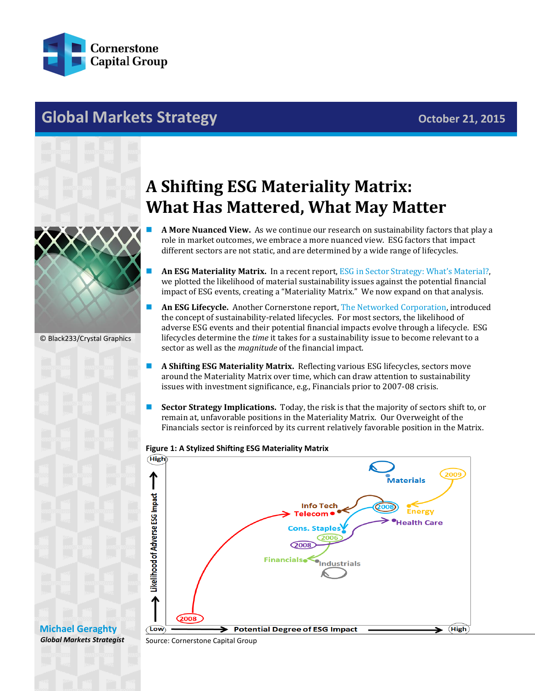

## **Global Markets Strategy Contained Bulletin Contained Bulletin Contained Bulletin Contained Bulletin Contained Bulletin Contained Bulletin Contained Bulletin Contained Bulletin Contained Bulletin Contained Bulletin Conta**



© Black233/Crystal Graphics

**[Michael Geraghty](mailto:michael.geraghty@cornerstonecapinc.com)** *Global Markets Strategist*

## **A Shifting ESG Materiality Matrix: What Has Mattered, What May Matter**

- **A More Nuanced View.** As we continue our research on sustainability factors that play a role in market outcomes, we embrace a more nuanced view. ESG factors that impact different sectors are not static, and are determined by a wide range of lifecycles.
- **An ESG Materiality Matrix.** In a recent report, [ESG in Sector Strategy: What's Material?](http://cornerstonecapinc.com/2015/06/esg-in-sector-strategy-whats-material/), we plotted the likelihood of material sustainability issues against the potential financial impact of ESG events, creating a "Materiality Matrix." We now expand on that analysis.
- **An ESG Lifecycle.** Another Cornerstone report[, The Networked Corporation,](http://cornerstonecapinc.com/wp-content/uploads/2015/07/The-Networked-Corporation_July-29_FINAL.pdf) introduced the concept of sustainability-related lifecycles. For most sectors, the likelihood of adverse ESG events and their potential financial impacts evolve through a lifecycle. ESG lifecycles determine the *time* it takes for a sustainability issue to become relevant to a sector as well as the *magnitude* of the financial impact.
- **A Shifting ESG Materiality Matrix.** Reflecting various ESG lifecycles, sectors move around the Materiality Matrix over time, which can draw attention to sustainability issues with investment significance, e.g., Financials prior to 2007-08 crisis.
- **Sector Strategy Implications.** Today, the risk is that the majority of sectors shift to, or remain at, unfavorable positions in the Materiality Matrix. Our Overweight of the Financials sector is reinforced by its current relatively favorable position in the Matrix.

## **Figure 1: A Stylized Shifting ESG Materiality Matrix**



Source: Cornerstone Capital Group